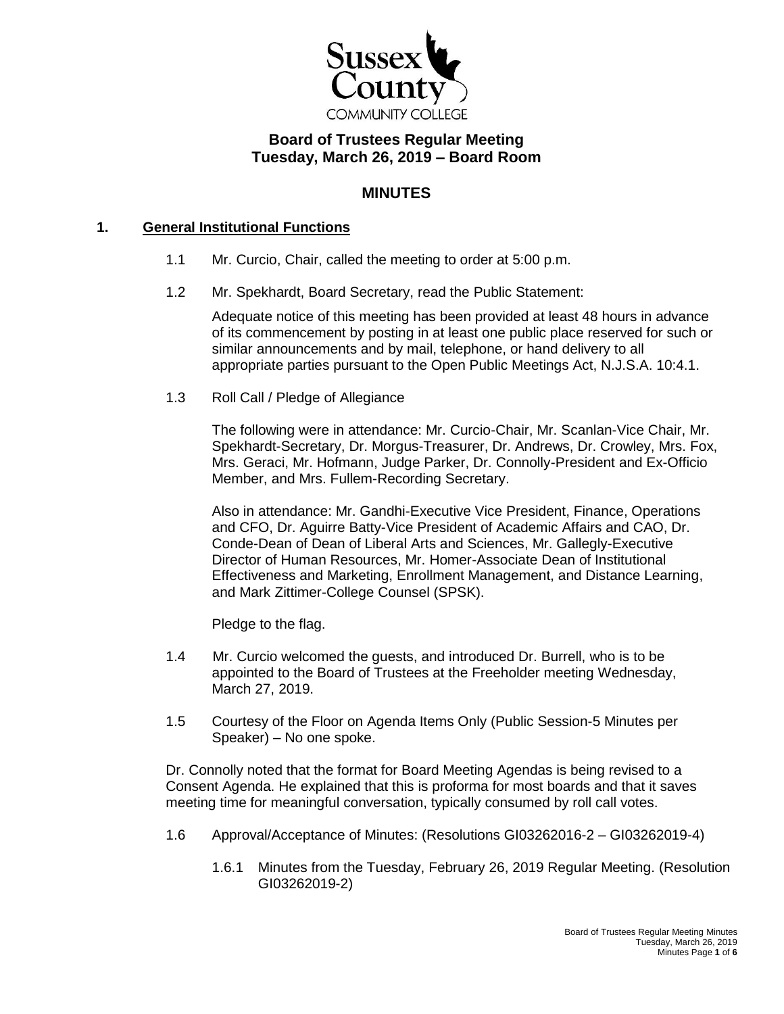

# **Board of Trustees Regular Meeting Tuesday, March 26, 2019 – Board Room**

## **MINUTES**

### **1. General Institutional Functions**

- 1.1 Mr. Curcio, Chair, called the meeting to order at 5:00 p.m.
- 1.2 Mr. Spekhardt, Board Secretary, read the Public Statement:

Adequate notice of this meeting has been provided at least 48 hours in advance of its commencement by posting in at least one public place reserved for such or similar announcements and by mail, telephone, or hand delivery to all appropriate parties pursuant to the Open Public Meetings Act, N.J.S.A. 10:4.1.

1.3 Roll Call / Pledge of Allegiance

The following were in attendance: Mr. Curcio-Chair, Mr. Scanlan-Vice Chair, Mr. Spekhardt-Secretary, Dr. Morgus-Treasurer, Dr. Andrews, Dr. Crowley, Mrs. Fox, Mrs. Geraci, Mr. Hofmann, Judge Parker, Dr. Connolly-President and Ex-Officio Member, and Mrs. Fullem-Recording Secretary.

Also in attendance: Mr. Gandhi-Executive Vice President, Finance, Operations and CFO, Dr. Aguirre Batty-Vice President of Academic Affairs and CAO, Dr. Conde-Dean of Dean of Liberal Arts and Sciences, Mr. Gallegly-Executive Director of Human Resources, Mr. Homer-Associate Dean of Institutional Effectiveness and Marketing, Enrollment Management, and Distance Learning, and Mark Zittimer-College Counsel (SPSK).

Pledge to the flag.

- 1.4 Mr. Curcio welcomed the guests, and introduced Dr. Burrell, who is to be appointed to the Board of Trustees at the Freeholder meeting Wednesday, March 27, 2019.
- 1.5 Courtesy of the Floor on Agenda Items Only (Public Session-5 Minutes per Speaker) – No one spoke.

Dr. Connolly noted that the format for Board Meeting Agendas is being revised to a Consent Agenda. He explained that this is proforma for most boards and that it saves meeting time for meaningful conversation, typically consumed by roll call votes.

- 1.6 Approval/Acceptance of Minutes: (Resolutions GI03262016-2 GI03262019-4)
	- 1.6.1 Minutes from the Tuesday, February 26, 2019 Regular Meeting. (Resolution GI03262019-2)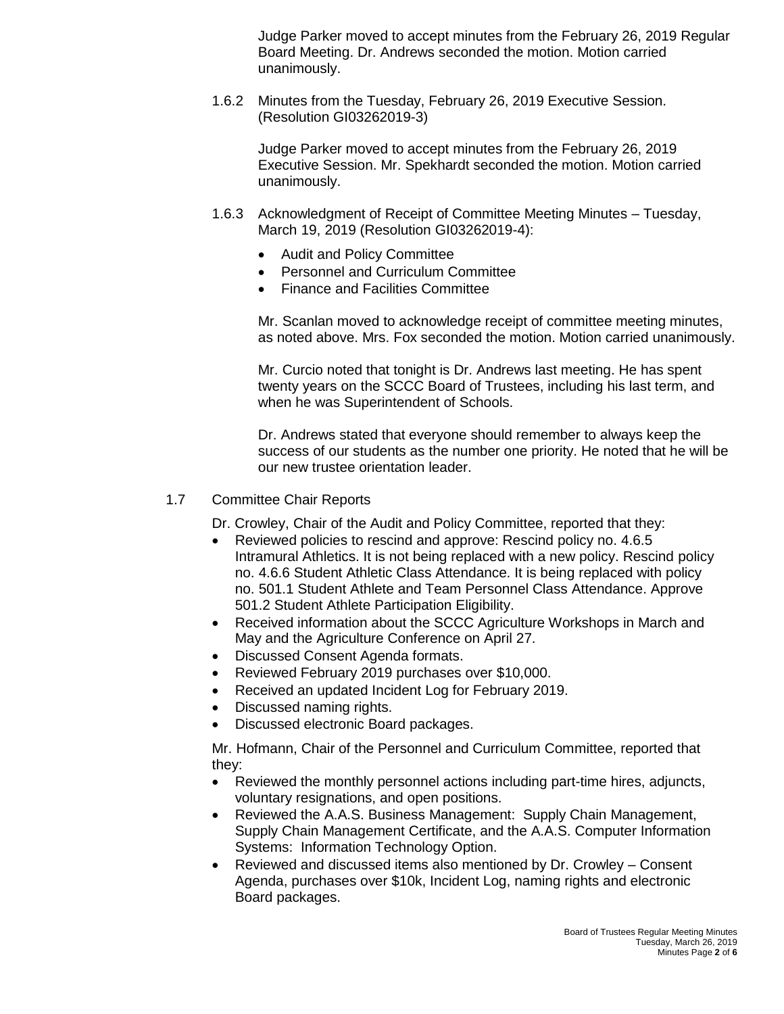Judge Parker moved to accept minutes from the February 26, 2019 Regular Board Meeting. Dr. Andrews seconded the motion. Motion carried unanimously.

1.6.2 Minutes from the Tuesday, February 26, 2019 Executive Session. (Resolution GI03262019-3)

Judge Parker moved to accept minutes from the February 26, 2019 Executive Session. Mr. Spekhardt seconded the motion. Motion carried unanimously.

- 1.6.3 Acknowledgment of Receipt of Committee Meeting Minutes Tuesday, March 19, 2019 (Resolution GI03262019-4):
	- Audit and Policy Committee
	- Personnel and Curriculum Committee
	- Finance and Facilities Committee

Mr. Scanlan moved to acknowledge receipt of committee meeting minutes, as noted above. Mrs. Fox seconded the motion. Motion carried unanimously.

Mr. Curcio noted that tonight is Dr. Andrews last meeting. He has spent twenty years on the SCCC Board of Trustees, including his last term, and when he was Superintendent of Schools.

Dr. Andrews stated that everyone should remember to always keep the success of our students as the number one priority. He noted that he will be our new trustee orientation leader.

#### 1.7 Committee Chair Reports

Dr. Crowley, Chair of the Audit and Policy Committee, reported that they:

- Reviewed policies to rescind and approve: Rescind policy no. 4.6.5 Intramural Athletics. It is not being replaced with a new policy. Rescind policy no. 4.6.6 Student Athletic Class Attendance. It is being replaced with policy no. 501.1 Student Athlete and Team Personnel Class Attendance. Approve 501.2 Student Athlete Participation Eligibility.
- Received information about the SCCC Agriculture Workshops in March and May and the Agriculture Conference on April 27.
- Discussed Consent Agenda formats.
- Reviewed February 2019 purchases over \$10,000.
- Received an updated Incident Log for February 2019.
- Discussed naming rights.
- Discussed electronic Board packages.

Mr. Hofmann, Chair of the Personnel and Curriculum Committee, reported that they:

- Reviewed the monthly personnel actions including part-time hires, adjuncts, voluntary resignations, and open positions.
- Reviewed the A.A.S. Business Management: Supply Chain Management, Supply Chain Management Certificate, and the A.A.S. Computer Information Systems: Information Technology Option.
- Reviewed and discussed items also mentioned by Dr. Crowley Consent Agenda, purchases over \$10k, Incident Log, naming rights and electronic Board packages.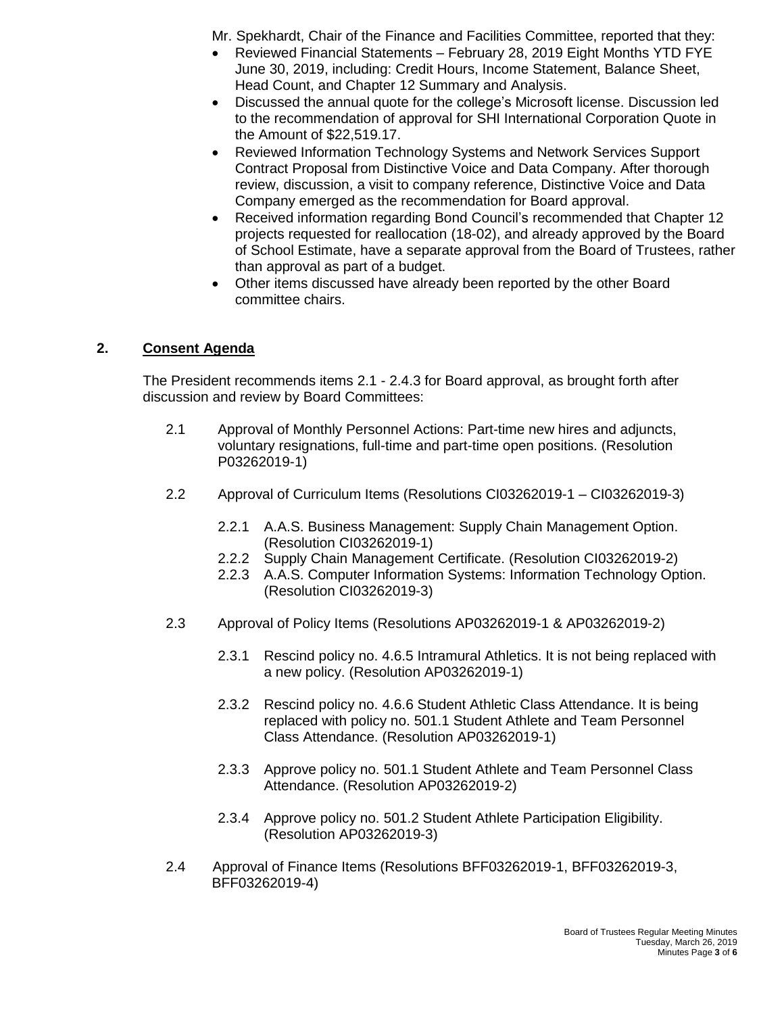Mr. Spekhardt, Chair of the Finance and Facilities Committee, reported that they:

- Reviewed Financial Statements February 28, 2019 Eight Months YTD FYE June 30, 2019, including: Credit Hours, Income Statement, Balance Sheet, Head Count, and Chapter 12 Summary and Analysis.
- Discussed the annual quote for the college's Microsoft license. Discussion led to the recommendation of approval for SHI International Corporation Quote in the Amount of \$22,519.17.
- Reviewed Information Technology Systems and Network Services Support Contract Proposal from Distinctive Voice and Data Company. After thorough review, discussion, a visit to company reference, Distinctive Voice and Data Company emerged as the recommendation for Board approval.
- Received information regarding Bond Council's recommended that Chapter 12 projects requested for reallocation (18-02), and already approved by the Board of School Estimate, have a separate approval from the Board of Trustees, rather than approval as part of a budget.
- Other items discussed have already been reported by the other Board committee chairs.

## **2. Consent Agenda**

The President recommends items 2.1 - 2.4.3 for Board approval, as brought forth after discussion and review by Board Committees:

- 2.1 Approval of Monthly Personnel Actions: Part-time new hires and adjuncts, voluntary resignations, full-time and part-time open positions. (Resolution P03262019-1)
- 2.2 Approval of Curriculum Items (Resolutions CI03262019-1 CI03262019-3)
	- 2.2.1 A.A.S. Business Management: Supply Chain Management Option. (Resolution CI03262019-1)
	- 2.2.2 Supply Chain Management Certificate. (Resolution CI03262019-2)
	- 2.2.3 A.A.S. Computer Information Systems: Information Technology Option. (Resolution CI03262019-3)
- 2.3 Approval of Policy Items (Resolutions AP03262019-1 & AP03262019-2)
	- 2.3.1 Rescind policy no. 4.6.5 Intramural Athletics. It is not being replaced with a new policy. (Resolution AP03262019-1)
	- 2.3.2 Rescind policy no. 4.6.6 Student Athletic Class Attendance. It is being replaced with policy no. 501.1 Student Athlete and Team Personnel Class Attendance. (Resolution AP03262019-1)
	- 2.3.3 Approve policy no. 501.1 Student Athlete and Team Personnel Class Attendance. (Resolution AP03262019-2)
	- 2.3.4 Approve policy no. 501.2 Student Athlete Participation Eligibility. (Resolution AP03262019-3)
- 2.4 Approval of Finance Items (Resolutions BFF03262019-1, BFF03262019-3, BFF03262019-4)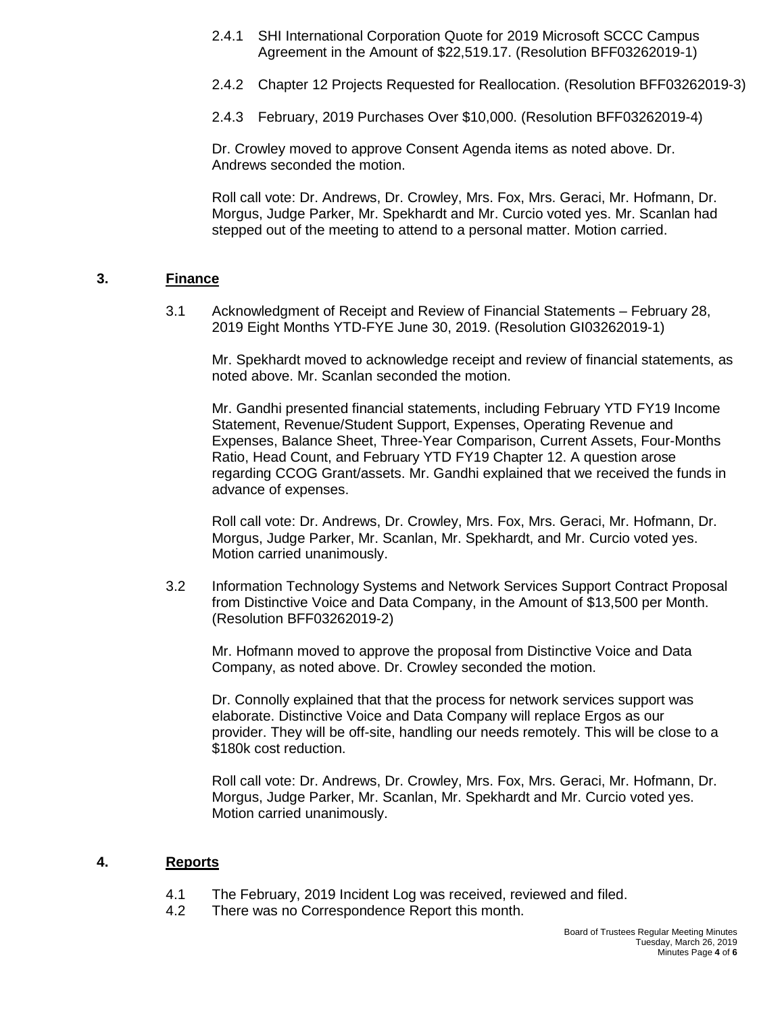- 2.4.1 SHI International Corporation Quote for 2019 Microsoft SCCC Campus Agreement in the Amount of \$22,519.17. (Resolution BFF03262019-1)
- 2.4.2 Chapter 12 Projects Requested for Reallocation. (Resolution BFF03262019-3)
- 2.4.3 February, 2019 Purchases Over \$10,000. (Resolution BFF03262019-4)

Dr. Crowley moved to approve Consent Agenda items as noted above. Dr. Andrews seconded the motion.

Roll call vote: Dr. Andrews, Dr. Crowley, Mrs. Fox, Mrs. Geraci, Mr. Hofmann, Dr. Morgus, Judge Parker, Mr. Spekhardt and Mr. Curcio voted yes. Mr. Scanlan had stepped out of the meeting to attend to a personal matter. Motion carried.

#### **3. Finance**

3.1 Acknowledgment of Receipt and Review of Financial Statements – February 28, 2019 Eight Months YTD-FYE June 30, 2019. (Resolution GI03262019-1)

Mr. Spekhardt moved to acknowledge receipt and review of financial statements, as noted above. Mr. Scanlan seconded the motion.

Mr. Gandhi presented financial statements, including February YTD FY19 Income Statement, Revenue/Student Support, Expenses, Operating Revenue and Expenses, Balance Sheet, Three-Year Comparison, Current Assets, Four-Months Ratio, Head Count, and February YTD FY19 Chapter 12. A question arose regarding CCOG Grant/assets. Mr. Gandhi explained that we received the funds in advance of expenses.

Roll call vote: Dr. Andrews, Dr. Crowley, Mrs. Fox, Mrs. Geraci, Mr. Hofmann, Dr. Morgus, Judge Parker, Mr. Scanlan, Mr. Spekhardt, and Mr. Curcio voted yes. Motion carried unanimously.

3.2 Information Technology Systems and Network Services Support Contract Proposal from Distinctive Voice and Data Company, in the Amount of \$13,500 per Month. (Resolution BFF03262019-2)

Mr. Hofmann moved to approve the proposal from Distinctive Voice and Data Company, as noted above. Dr. Crowley seconded the motion.

Dr. Connolly explained that that the process for network services support was elaborate. Distinctive Voice and Data Company will replace Ergos as our provider. They will be off-site, handling our needs remotely. This will be close to a \$180k cost reduction.

Roll call vote: Dr. Andrews, Dr. Crowley, Mrs. Fox, Mrs. Geraci, Mr. Hofmann, Dr. Morgus, Judge Parker, Mr. Scanlan, Mr. Spekhardt and Mr. Curcio voted yes. Motion carried unanimously.

#### **4. Reports**

- 4.1 The February, 2019 Incident Log was received, reviewed and filed.
- 4.2 There was no Correspondence Report this month.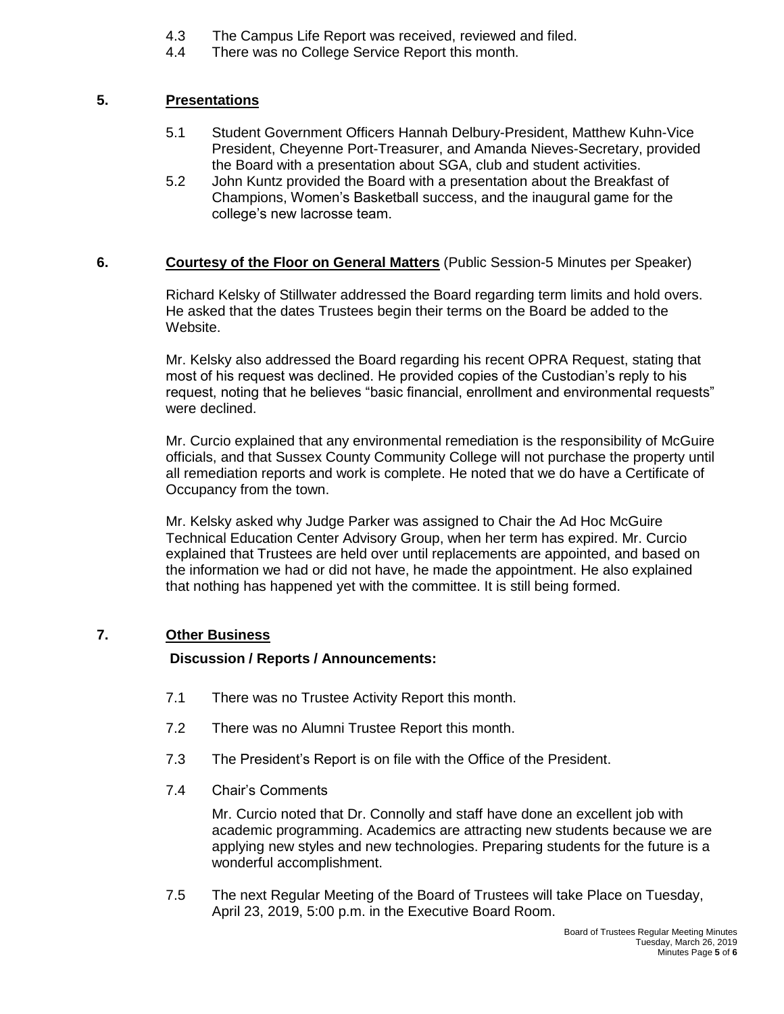- 4.3 The Campus Life Report was received, reviewed and filed.
- 4.4 There was no College Service Report this month.

## **5. Presentations**

- 5.1 Student Government Officers Hannah Delbury-President, Matthew Kuhn-Vice President, Cheyenne Port-Treasurer, and Amanda Nieves-Secretary, provided the Board with a presentation about SGA, club and student activities.
- 5.2 John Kuntz provided the Board with a presentation about the Breakfast of Champions, Women's Basketball success, and the inaugural game for the college's new lacrosse team.

### **6. Courtesy of the Floor on General Matters** (Public Session-5 Minutes per Speaker)

Richard Kelsky of Stillwater addressed the Board regarding term limits and hold overs. He asked that the dates Trustees begin their terms on the Board be added to the Website.

Mr. Kelsky also addressed the Board regarding his recent OPRA Request, stating that most of his request was declined. He provided copies of the Custodian's reply to his request, noting that he believes "basic financial, enrollment and environmental requests" were declined.

Mr. Curcio explained that any environmental remediation is the responsibility of McGuire officials, and that Sussex County Community College will not purchase the property until all remediation reports and work is complete. He noted that we do have a Certificate of Occupancy from the town.

Mr. Kelsky asked why Judge Parker was assigned to Chair the Ad Hoc McGuire Technical Education Center Advisory Group, when her term has expired. Mr. Curcio explained that Trustees are held over until replacements are appointed, and based on the information we had or did not have, he made the appointment. He also explained that nothing has happened yet with the committee. It is still being formed.

## **7. Other Business**

### **Discussion / Reports / Announcements:**

- 7.1 There was no Trustee Activity Report this month.
- 7.2 There was no Alumni Trustee Report this month.
- 7.3 The President's Report is on file with the Office of the President.
- 7.4 Chair's Comments

Mr. Curcio noted that Dr. Connolly and staff have done an excellent job with academic programming. Academics are attracting new students because we are applying new styles and new technologies. Preparing students for the future is a wonderful accomplishment.

7.5 The next Regular Meeting of the Board of Trustees will take Place on Tuesday, April 23, 2019, 5:00 p.m. in the Executive Board Room.